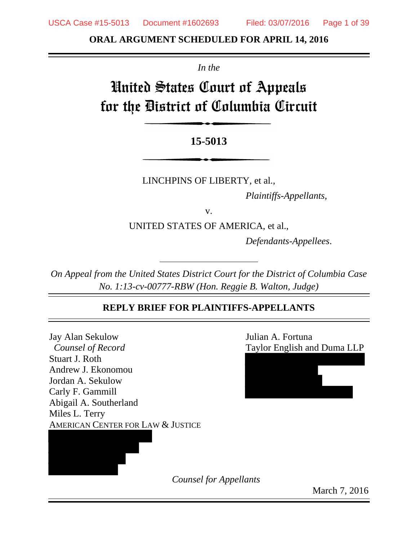**ORAL ARGUMENT SCHEDULED FOR APRIL 14, 2016**

*In the*

# United States Court of Appeals for the District of Columbia Circuit

# **15-5013**

LINCHPINS OF LIBERTY, et al.,

*Plaintiffs-Appellants*,

v.

UNITED STATES OF AMERICA, et al.,

*Defendants-Appellees*.

*On Appeal from the United States District Court for the District of Columbia Case No. 1:13-cv-00777-RBW (Hon. Reggie B. Walton, Judge)*

# **REPLY BRIEF FOR PLAINTIFFS-APPELLANTS**

Jay Alan Sekulow Julian A. Fortuna *Counsel of Record* Taylor English and Duma LLP Stuart J. Roth Andrew J. Ekonomou Jordan A. Sekulow Carly F. Gammill Abigail A. Southerland Miles L. Terry AMERICAN CENTER FOR LAW & JUSTICE



*Counsel for Appellants*

March 7, 2016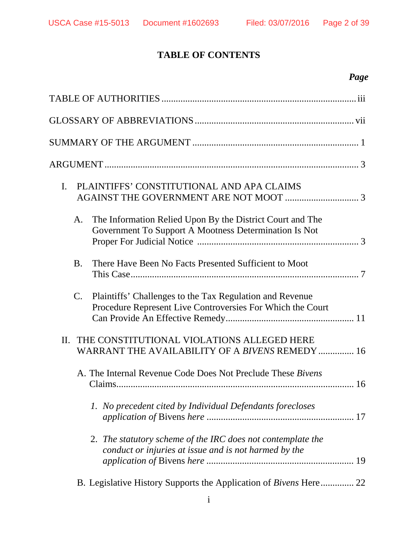# **TABLE OF CONTENTS**

# *Page*

| PLAINTIFFS' CONSTITUTIONAL AND APA CLAIMS<br>I.                                                                              |
|------------------------------------------------------------------------------------------------------------------------------|
| The Information Relied Upon By the District Court and The<br>A.<br>Government To Support A Mootness Determination Is Not     |
| <b>B.</b><br>There Have Been No Facts Presented Sufficient to Moot                                                           |
| C.<br>Plaintiffs' Challenges to the Tax Regulation and Revenue<br>Procedure Represent Live Controversies For Which the Court |
| THE CONSTITUTIONAL VIOLATIONS ALLEGED HERE<br>II.<br>WARRANT THE AVAILABILITY OF A BIVENS REMEDY  16                         |
| A. The Internal Revenue Code Does Not Preclude These Bivens                                                                  |
| 1. No precedent cited by Individual Defendants forecloses                                                                    |
| 2. The statutory scheme of the IRC does not contemplate the<br>conduct or injuries at issue and is not harmed by the         |
| B. Legislative History Supports the Application of <i>Bivens</i> Here 22                                                     |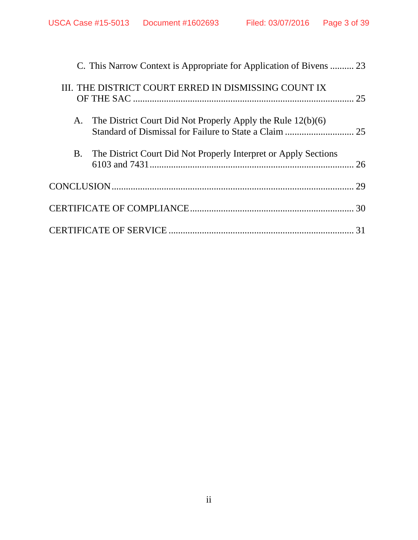|  | C. This Narrow Context is Appropriate for Application of Bivens  23 |    |
|--|---------------------------------------------------------------------|----|
|  | III. THE DISTRICT COURT ERRED IN DISMISSING COUNT IX                |    |
|  | A. The District Court Did Not Properly Apply the Rule 12(b)(6)      |    |
|  | B. The District Court Did Not Properly Interpret or Apply Sections  | 26 |
|  |                                                                     | 29 |
|  |                                                                     |    |
|  |                                                                     |    |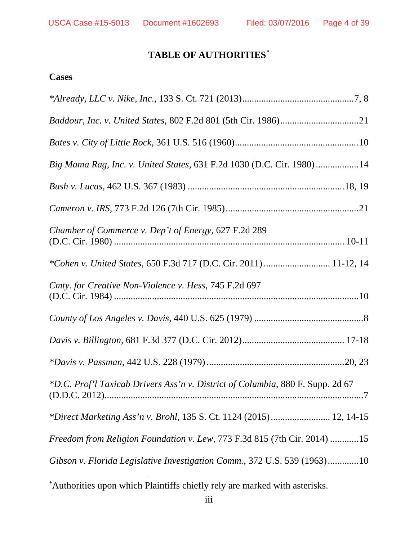# **TABLE OF AUTHORITIES[\\*](#page-3-0)**

### **Cases**

| Big Mama Rag, Inc. v. United States, 631 F.2d 1030 (D.C. Cir. 1980) 14         |
|--------------------------------------------------------------------------------|
|                                                                                |
|                                                                                |
| Chamber of Commerce v. Dep't of Energy, 627 F.2d 289                           |
| *Cohen v. United States, 650 F.3d 717 (D.C. Cir. 2011)  11-12, 14              |
| Cmty. for Creative Non-Violence v. Hess, 745 F.2d 697                          |
|                                                                                |
|                                                                                |
|                                                                                |
| *D.C. Prof'l Taxicab Drivers Ass'n v. District of Columbia, 880 F. Supp. 2d 67 |
| *Direct Marketing Ass'n v. Brohl, 135 S. Ct. 1124 (2015) 12, 14-15             |
| Freedom from Religion Foundation v. Lew, 773 F.3d 815 (7th Cir. 2014) 15       |
| Gibson v. Florida Legislative Investigation Comm., 372 U.S. 539 (1963)10       |

<span id="page-3-0"></span> <sup>\*</sup> Authorities upon which Plaintiffs chiefly rely are marked with asterisks.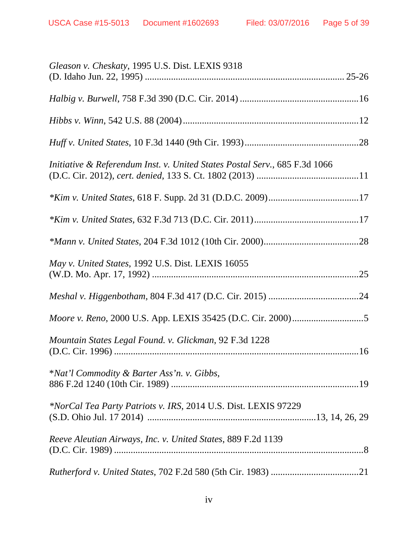| Gleason v. Cheskaty, 1995 U.S. Dist. LEXIS 9318                            |
|----------------------------------------------------------------------------|
|                                                                            |
|                                                                            |
|                                                                            |
| Initiative & Referendum Inst. v. United States Postal Serv., 685 F.3d 1066 |
|                                                                            |
|                                                                            |
|                                                                            |
| May v. United States, 1992 U.S. Dist. LEXIS 16055<br>.25                   |
|                                                                            |
|                                                                            |
| Mountain States Legal Found. v. Glickman, 92 F.3d 1228                     |
| *Nat'l Commodity & Barter Ass'n. v. Gibbs,                                 |
| *NorCal Tea Party Patriots v. IRS, 2014 U.S. Dist. LEXIS 97229             |
| Reeve Aleutian Airways, Inc. v. United States, 889 F.2d 1139               |
|                                                                            |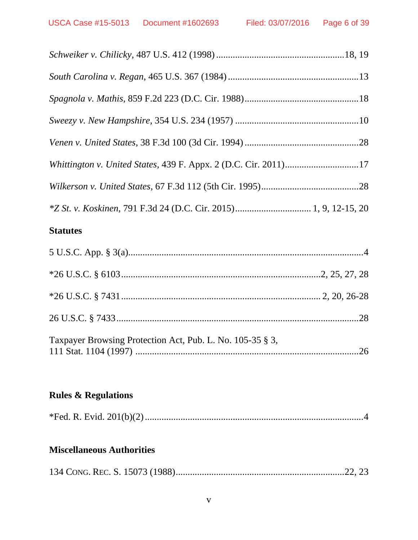| Whittington v. United States, 439 F. Appx. 2 (D.C. Cir. 2011)17 |  |
|-----------------------------------------------------------------|--|
|                                                                 |  |
|                                                                 |  |
|                                                                 |  |

# **Statutes**

| Taxpayer Browsing Protection Act, Pub. L. No. 105-35 § 3, |  |
|-----------------------------------------------------------|--|

# **Rules & Regulations**

|--|--|--|--|

# **Miscellaneous Authorities**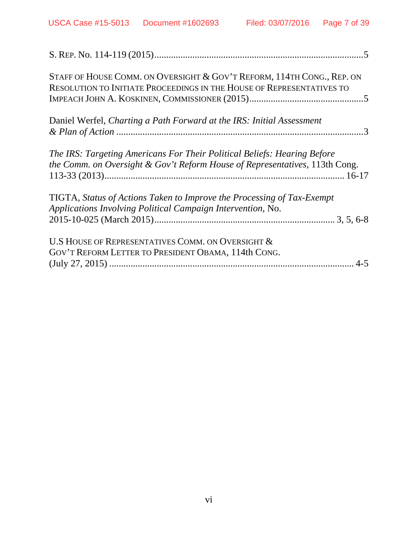| STAFF OF HOUSE COMM. ON OVERSIGHT & GOV'T REFORM, 114TH CONG., REP. ON<br>RESOLUTION TO INITIATE PROCEEDINGS IN THE HOUSE OF REPRESENTATIVES TO         |
|---------------------------------------------------------------------------------------------------------------------------------------------------------|
| Daniel Werfel, Charting a Path Forward at the IRS: Initial Assessment                                                                                   |
| The IRS: Targeting Americans For Their Political Beliefs: Hearing Before<br>the Comm. on Oversight & Gov't Reform House of Representatives, 113th Cong. |
| TIGTA, Status of Actions Taken to Improve the Processing of Tax-Exempt<br>Applications Involving Political Campaign Intervention, No.                   |
| U.S HOUSE OF REPRESENTATIVES COMM. ON OVERSIGHT &<br>GOV'T REFORM LETTER TO PRESIDENT OBAMA, 114th CONG.                                                |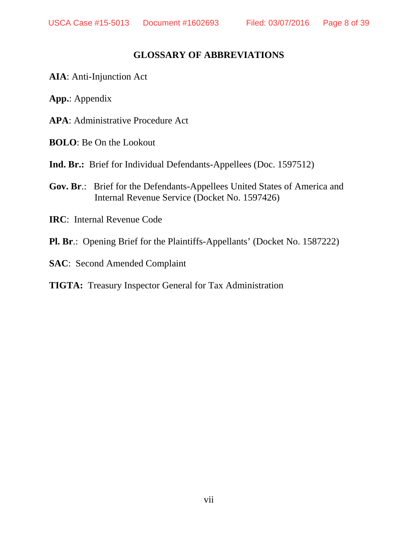### **GLOSSARY OF ABBREVIATIONS**

- **AIA**: Anti-Injunction Act
- **App.**: Appendix
- **APA**: Administrative Procedure Act
- **BOLO**: Be On the Lookout
- **Ind. Br.:** Brief for Individual Defendants-Appellees (Doc. 1597512)
- **Gov. Br**.: Brief for the Defendants-Appellees United States of America and Internal Revenue Service (Docket No. 1597426)
- **IRC**: Internal Revenue Code
- **Pl. Br**.: Opening Brief for the Plaintiffs-Appellants' (Docket No. 1587222)
- **SAC**: Second Amended Complaint

#### **TIGTA:** Treasury Inspector General for Tax Administration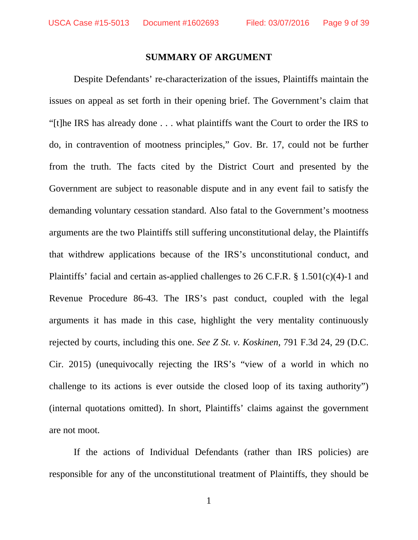#### **SUMMARY OF ARGUMENT**

Despite Defendants' re-characterization of the issues, Plaintiffs maintain the issues on appeal as set forth in their opening brief. The Government's claim that "[t]he IRS has already done . . . what plaintiffs want the Court to order the IRS to do, in contravention of mootness principles," Gov. Br. 17, could not be further from the truth. The facts cited by the District Court and presented by the Government are subject to reasonable dispute and in any event fail to satisfy the demanding voluntary cessation standard. Also fatal to the Government's mootness arguments are the two Plaintiffs still suffering unconstitutional delay, the Plaintiffs that withdrew applications because of the IRS's unconstitutional conduct, and Plaintiffs' facial and certain as-applied challenges to 26 C.F.R. § 1.501(c)(4)-1 and Revenue Procedure 86-43. The IRS's past conduct, coupled with the legal arguments it has made in this case, highlight the very mentality continuously rejected by courts, including this one. *See Z St. v. Koskinen*, 791 F.3d 24, 29 (D.C. Cir. 2015) (unequivocally rejecting the IRS's "view of a world in which no challenge to its actions is ever outside the closed loop of its taxing authority") (internal quotations omitted). In short, Plaintiffs' claims against the government are not moot.

If the actions of Individual Defendants (rather than IRS policies) are responsible for any of the unconstitutional treatment of Plaintiffs, they should be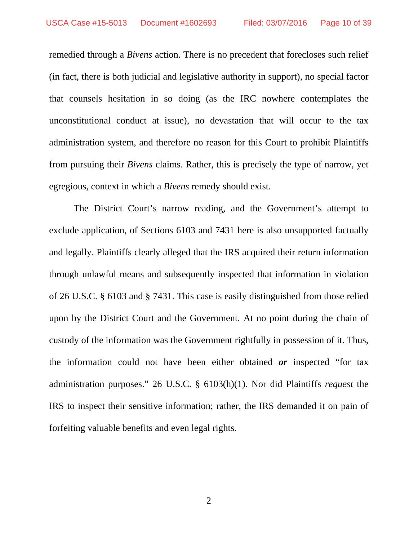remedied through a *Bivens* action. There is no precedent that forecloses such relief (in fact, there is both judicial and legislative authority in support), no special factor that counsels hesitation in so doing (as the IRC nowhere contemplates the unconstitutional conduct at issue), no devastation that will occur to the tax administration system, and therefore no reason for this Court to prohibit Plaintiffs from pursuing their *Bivens* claims. Rather, this is precisely the type of narrow, yet egregious, context in which a *Bivens* remedy should exist.

The District Court's narrow reading, and the Government's attempt to exclude application, of Sections 6103 and 7431 here is also unsupported factually and legally. Plaintiffs clearly alleged that the IRS acquired their return information through unlawful means and subsequently inspected that information in violation of 26 U.S.C. § 6103 and § 7431. This case is easily distinguished from those relied upon by the District Court and the Government. At no point during the chain of custody of the information was the Government rightfully in possession of it. Thus, the information could not have been either obtained *or* inspected "for tax administration purposes." 26 U.S.C. § 6103(h)(1). Nor did Plaintiffs *request* the IRS to inspect their sensitive information; rather, the IRS demanded it on pain of forfeiting valuable benefits and even legal rights.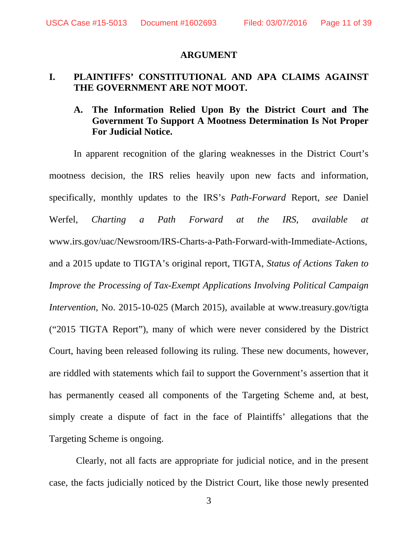#### **ARGUMENT**

#### **I. PLAINTIFFS' CONSTITUTIONAL AND APA CLAIMS AGAINST THE GOVERNMENT ARE NOT MOOT.**

#### **A. The Information Relied Upon By the District Court and The Government To Support A Mootness Determination Is Not Proper For Judicial Notice.**

In apparent recognition of the glaring weaknesses in the District Court's mootness decision, the IRS relies heavily upon new facts and information, specifically, monthly updates to the IRS's *Path-Forward* Report, *see* Daniel Werfel, *Charting a Path Forward at the IRS*, *available at* www.irs.gov/uac/Newsroom/IRS-Charts-a-Path-Forward-with-Immediate-Actions, and a 2015 update to TIGTA's original report, TIGTA, *Status of Actions Taken to Improve the Processing of Tax-Exempt Applications Involving Political Campaign Intervention*, No. 2015-10-025 (March 2015), available at www.treasury.gov/tigta ("2015 TIGTA Report"), many of which were never considered by the District Court, having been released following its ruling. These new documents, however, are riddled with statements which fail to support the Government's assertion that it has permanently ceased all components of the Targeting Scheme and, at best, simply create a dispute of fact in the face of Plaintiffs' allegations that the Targeting Scheme is ongoing.

Clearly, not all facts are appropriate for judicial notice, and in the present case, the facts judicially noticed by the District Court, like those newly presented

3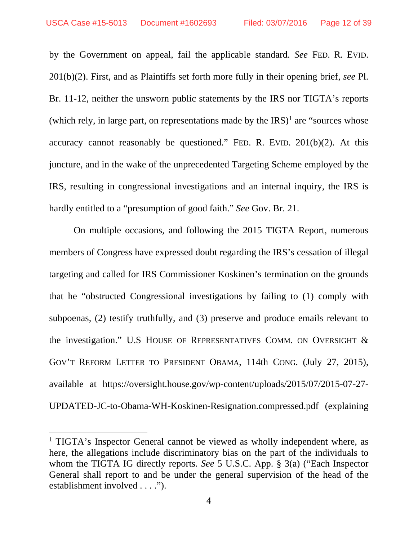by the Government on appeal, fail the applicable standard. *See* FED. R. EVID. 201(b)(2). First, and as Plaintiffs set forth more fully in their opening brief, *see* Pl. Br. 11-12, neither the unsworn public statements by the IRS nor TIGTA's reports (which rely, in large part, on representations made by the  $[RS]^1$  $[RS]^1$  are "sources whose" accuracy cannot reasonably be questioned." FED. R. EVID.  $201(b)(2)$ . At this juncture, and in the wake of the unprecedented Targeting Scheme employed by the IRS, resulting in congressional investigations and an internal inquiry, the IRS is hardly entitled to a "presumption of good faith." *See* Gov. Br. 21.

On multiple occasions, and following the 2015 TIGTA Report, numerous members of Congress have expressed doubt regarding the IRS's cessation of illegal targeting and called for IRS Commissioner Koskinen's termination on the grounds that he "obstructed Congressional investigations by failing to (1) comply with subpoenas, (2) testify truthfully, and (3) preserve and produce emails relevant to the investigation." U.S HOUSE OF REPRESENTATIVES COMM. ON OVERSIGHT & GOV'T REFORM LETTER TO PRESIDENT OBAMA, 114th CONG. (July 27, 2015), available at https://oversight.house.gov/wp-content/uploads/2015/07/2015-07-27- UPDATED-JC-to-Obama-WH-Koskinen-Resignation.compressed.pdf (explaining

<span id="page-11-0"></span><sup>&</sup>lt;sup>1</sup> TIGTA's Inspector General cannot be viewed as wholly independent where, as here, the allegations include discriminatory bias on the part of the individuals to whom the TIGTA IG directly reports. *See* 5 U.S.C. App. § 3(a) ("Each Inspector General shall report to and be under the general supervision of the head of the establishment involved . . . .").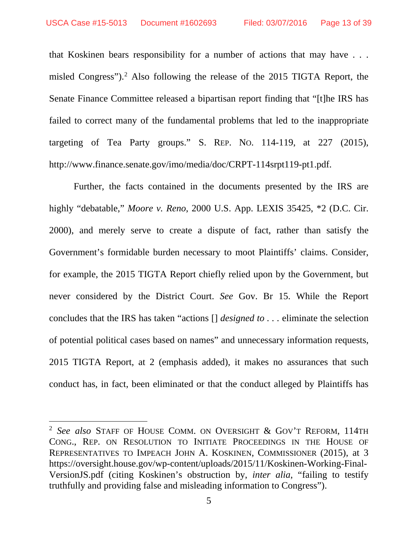that Koskinen bears responsibility for a number of actions that may have . . . misled Congress"). [2](#page-12-0) Also following the release of the 2015 TIGTA Report, the Senate Finance Committee released a bipartisan report finding that "[t]he IRS has failed to correct many of the fundamental problems that led to the inappropriate targeting of Tea Party groups." S. REP. NO. 114-119, at 227 (2015), http://www.finance.senate.gov/imo/media/doc/CRPT-114srpt119-pt1.pdf.

Further, the facts contained in the documents presented by the IRS are highly "debatable," *Moore v. Reno*, 2000 U.S. App. LEXIS 35425, \*2 (D.C. Cir. 2000), and merely serve to create a dispute of fact, rather than satisfy the Government's formidable burden necessary to moot Plaintiffs' claims. Consider, for example, the 2015 TIGTA Report chiefly relied upon by the Government, but never considered by the District Court. *See* Gov. Br 15. While the Report concludes that the IRS has taken "actions [] *designed to . . .* eliminate the selection of potential political cases based on names" and unnecessary information requests, 2015 TIGTA Report, at 2 (emphasis added), it makes no assurances that such conduct has, in fact, been eliminated or that the conduct alleged by Plaintiffs has

<span id="page-12-0"></span> <sup>2</sup> *See also* STAFF OF HOUSE COMM. ON OVERSIGHT & GOV'T REFORM, 114TH CONG., REP. ON RESOLUTION TO INITIATE PROCEEDINGS IN THE HOUSE OF REPRESENTATIVES TO IMPEACH JOHN A. KOSKINEN, COMMISSIONER (2015), at 3 https://oversight.house.gov/wp-content/uploads/2015/11/Koskinen-Working-Final-VersionJS.pdf (citing Koskinen's obstruction by, *inter alia*, "failing to testify truthfully and providing false and misleading information to Congress").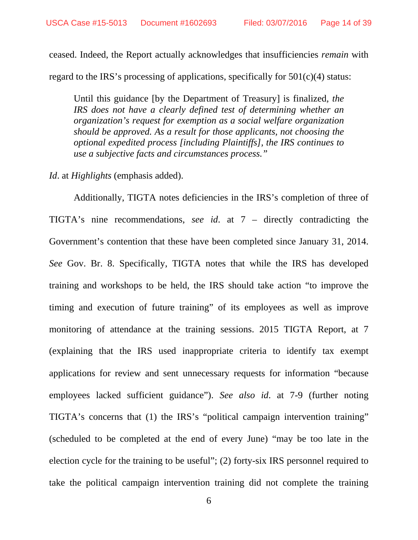ceased. Indeed, the Report actually acknowledges that insufficiencies *remain* with regard to the IRS's processing of applications, specifically for 501(c)(4) status:

Until this guidance [by the Department of Treasury] is finalized*, the IRS does not have a clearly defined test of determining whether an organization's request for exemption as a social welfare organization should be approved. As a result for those applicants, not choosing the optional expedited process [including Plaintiffs], the IRS continues to use a subjective facts and circumstances process."*

*Id*. at *Highlights* (emphasis added).

Additionally, TIGTA notes deficiencies in the IRS's completion of three of TIGTA's nine recommendations, *see id*. at 7 – directly contradicting the Government's contention that these have been completed since January 31, 2014. *See* Gov. Br. 8. Specifically, TIGTA notes that while the IRS has developed training and workshops to be held, the IRS should take action "to improve the timing and execution of future training" of its employees as well as improve monitoring of attendance at the training sessions. 2015 TIGTA Report, at 7 (explaining that the IRS used inappropriate criteria to identify tax exempt applications for review and sent unnecessary requests for information "because employees lacked sufficient guidance"). *See also id*. at 7-9 (further noting TIGTA's concerns that (1) the IRS's "political campaign intervention training" (scheduled to be completed at the end of every June) "may be too late in the election cycle for the training to be useful"; (2) forty-six IRS personnel required to take the political campaign intervention training did not complete the training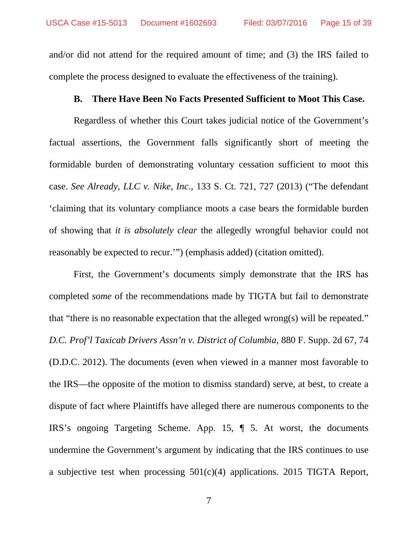and/or did not attend for the required amount of time; and (3) the IRS failed to complete the process designed to evaluate the effectiveness of the training).

#### **B. There Have Been No Facts Presented Sufficient to Moot This Case.**

Regardless of whether this Court takes judicial notice of the Government's factual assertions, the Government falls significantly short of meeting the formidable burden of demonstrating voluntary cessation sufficient to moot this case. *See Already, LLC v. Nike, Inc*., 133 S. Ct. 721, 727 (2013) ("The defendant 'claiming that its voluntary compliance moots a case bears the formidable burden of showing that *it is absolutely clear* the allegedly wrongful behavior could not reasonably be expected to recur.'") (emphasis added) (citation omitted).

First, the Government's documents simply demonstrate that the IRS has completed *some* of the recommendations made by TIGTA but fail to demonstrate that "there is no reasonable expectation that the alleged wrong(s) will be repeated." *D.C. Prof'l Taxicab Drivers Assn'n v. District of Columbia*, 880 F. Supp. 2d 67, 74 (D.D.C. 2012). The documents (even when viewed in a manner most favorable to the IRS—the opposite of the motion to dismiss standard) serve, at best, to create a dispute of fact where Plaintiffs have alleged there are numerous components to the IRS's ongoing Targeting Scheme. App. 15, ¶ 5. At worst, the documents undermine the Government's argument by indicating that the IRS continues to use a subjective test when processing  $501(c)(4)$  applications. 2015 TIGTA Report,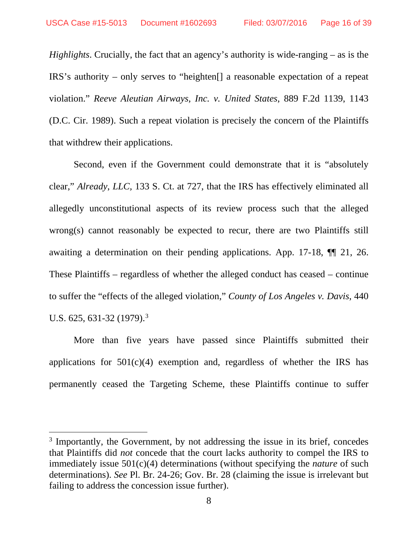*Highlights*. Crucially, the fact that an agency's authority is wide-ranging – as is the IRS's authority – only serves to "heighten[] a reasonable expectation of a repeat violation." *[Reeve Aleutian Airways, Inc. v. United States](http://www.lexis.com/research/xlink?app=00075&view=full&searchtype=le&search=889+F.2d+1139%2520at%25201143)*, 889 F.2d 1139, 1143 [\(D.C. Cir. 1989\).](http://www.lexis.com/research/xlink?app=00075&view=full&searchtype=le&search=889+F.2d+1139%2520at%25201143) Such a repeat violation is precisely the concern of the Plaintiffs that withdrew their applications.

Second, even if the Government could demonstrate that it is "absolutely clear," *Already*, *LLC,* 133 S. Ct. at 727, that the IRS has effectively eliminated all allegedly unconstitutional aspects of its review process such that the alleged wrong(s) cannot reasonably be expected to recur, there are two Plaintiffs still awaiting a determination on their pending applications. App. 17-18, ¶¶ 21, 26. These Plaintiffs – regardless of whether the alleged conduct has ceased – continue to suffer the "effects of the alleged violation," *County of Los Angeles v. Davis*, 440 U.S. 625, 6[3](#page-15-0)1-32 (1979).<sup>3</sup>

More than five years have passed since Plaintiffs submitted their applications for  $501(c)(4)$  exemption and, regardless of whether the IRS has permanently ceased the Targeting Scheme, these Plaintiffs continue to suffer

<span id="page-15-0"></span><sup>&</sup>lt;sup>3</sup> Importantly, the Government, by not addressing the issue in its brief, concedes that Plaintiffs did *not* concede that the court lacks authority to compel the IRS to immediately issue 501(c)(4) determinations (without specifying the *nature* of such determinations). *See* Pl. Br. 24-26; Gov. Br. 28 (claiming the issue is irrelevant but failing to address the concession issue further).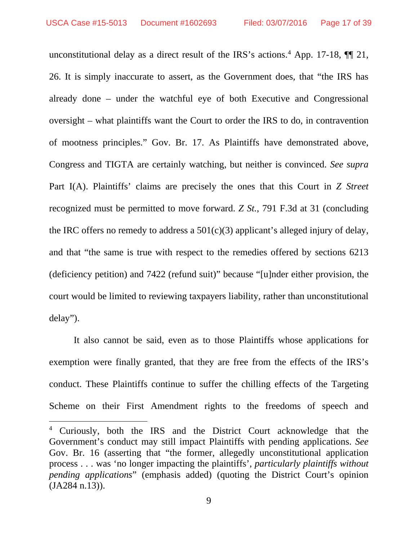unconstitutional delay as a direct result of the IRS's actions. [4](#page-16-0) App. 17-18, ¶¶ 21, 26. It is simply inaccurate to assert, as the Government does, that "the IRS has already done – under the watchful eye of both Executive and Congressional oversight – what plaintiffs want the Court to order the IRS to do, in contravention of mootness principles." Gov. Br. 17. As Plaintiffs have demonstrated above, Congress and TIGTA are certainly watching, but neither is convinced. *See supra* Part I(A). Plaintiffs' claims are precisely the ones that this Court in *Z Street* recognized must be permitted to move forward. *Z St.*, 791 F.3d at 31 (concluding the IRC offers no remedy to address a  $501(c)(3)$  applicant's alleged injury of delay, and that "the same is true with respect to the remedies offered by sections 6213 (deficiency petition) and 7422 (refund suit)" because "[u]nder either provision, the court would be limited to reviewing taxpayers liability, rather than unconstitutional delay").

It also cannot be said, even as to those Plaintiffs whose applications for exemption were finally granted, that they are free from the effects of the IRS's conduct. These Plaintiffs continue to suffer the chilling effects of the Targeting Scheme on their First Amendment rights to the freedoms of speech and

<span id="page-16-0"></span><sup>&</sup>lt;sup>4</sup> Curiously, both the IRS and the District Court acknowledge that the Government's conduct may still impact Plaintiffs with pending applications. *See*  Gov. Br. 16 (asserting that "the former, allegedly unconstitutional application process . . . was 'no longer impacting the plaintiffs', *particularly plaintiffs without pending applications*" (emphasis added) (quoting the District Court's opinion (JA284 n.13)).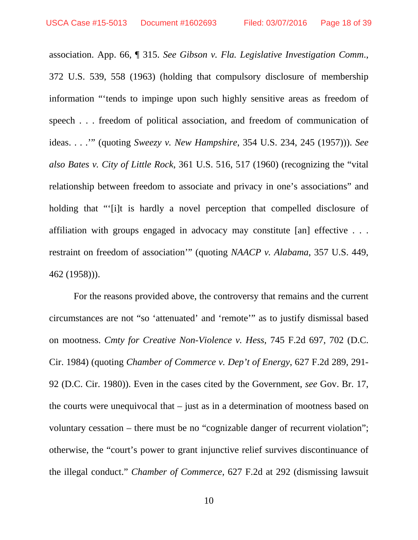association. App. 66, ¶ 315. *See Gibson v. Fla. Legislative Investigation Comm*., 372 U.S. 539, 558 (1963) (holding that compulsory disclosure of membership information "'tends to impinge upon such highly sensitive areas as freedom of speech . . . freedom of political association, and freedom of communication of ideas. . . .'" (quoting *Sweezy v. New Hampshire*, 354 U.S. 234, 245 (1957))). *See also Bates v. City of Little Rock*, 361 U.S. 516, 517 (1960) (recognizing the "vital relationship between freedom to associate and privacy in one's associations" and holding that "'[i]t is hardly a novel perception that compelled disclosure of affiliation with groups engaged in advocacy may constitute [an] effective . . . restraint on freedom of association'" (quoting *NAACP v. Alabama*, 357 U.S. 449, 462 (1958))).

For the reasons provided above, the controversy that remains and the current circumstances are not "so 'attenuated' and 'remote'" as to justify dismissal based on mootness. *Cmty for Creative Non-Violence v. Hess*, 745 F.2d 697, 702 (D.C. Cir. 1984) (quoting *Chamber of Commerce v. Dep't of Energy*, 627 F.2d 289, 291- 92 (D.C. Cir. 1980)). Even in the cases cited by the Government, *see* Gov. Br. 17, the courts were unequivocal that – just as in a determination of mootness based on voluntary cessation – there must be no "cognizable danger of recurrent violation"; otherwise, the "court's power to grant injunctive relief survives discontinuance of the illegal conduct." *Chamber of Commerce*, 627 F.2d at 292 (dismissing lawsuit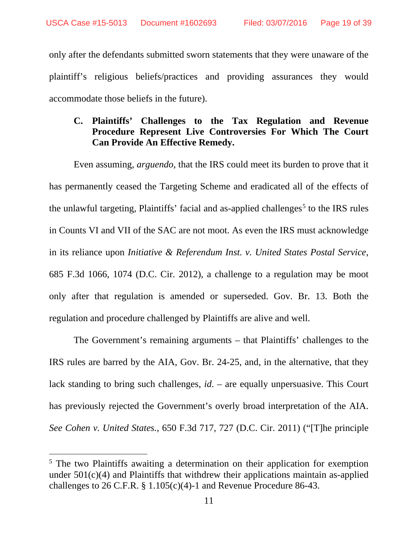only after the defendants submitted sworn statements that they were unaware of the plaintiff's religious beliefs/practices and providing assurances they would accommodate those beliefs in the future).

### **C. Plaintiffs' Challenges to the Tax Regulation and Revenue Procedure Represent Live Controversies For Which The Court Can Provide An Effective Remedy.**

Even assuming, *arguendo*, that the IRS could meet its burden to prove that it has permanently ceased the Targeting Scheme and eradicated all of the effects of the unlawful targeting, Plaintiffs' facial and as-applied challenges<sup>[5](#page-18-0)</sup> to the IRS rules in Counts VI and VII of the SAC are not moot. As even the IRS must acknowledge in its reliance upon *Initiative & Referendum Inst. v. United States Postal Service*, 685 F.3d 1066, 1074 (D.C. Cir. 2012), a challenge to a regulation may be moot only after that regulation is amended or superseded. Gov. Br. 13. Both the regulation and procedure challenged by Plaintiffs are alive and well.

The Government's remaining arguments – that Plaintiffs' challenges to the IRS rules are barred by the AIA, Gov. Br. 24-25, and, in the alternative, that they lack standing to bring such challenges, *id*. – are equally unpersuasive. This Court has previously rejected the Government's overly broad interpretation of the AIA. *See Cohen v. United States.*, 650 F.3d 717, 727 (D.C. Cir. 2011) ("[T]he principle

<span id="page-18-0"></span><sup>&</sup>lt;sup>5</sup> The two Plaintiffs awaiting a determination on their application for exemption under  $501(c)(4)$  and Plaintiffs that withdrew their applications maintain as-applied challenges to 26 C.F.R. § 1.105(c)(4)-1 and Revenue Procedure 86-43.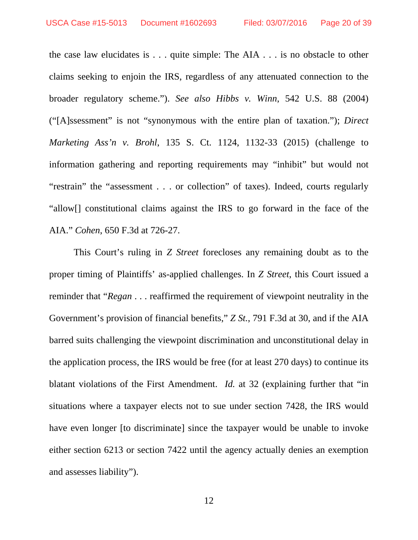the case law elucidates is . . . quite simple: The AIA . . . is no obstacle to other claims seeking to enjoin the IRS, regardless of any attenuated connection to the broader regulatory scheme."). *See also Hibbs v. Winn*, 542 U.S. 88 (2004) ("[A]ssessment" is not "synonymous with the entire plan of taxation."); *Direct Marketing Ass'n v. Brohl*, 135 S. Ct. 1124, 1132-33 (2015) (challenge to information gathering and reporting requirements may "inhibit" but would not "restrain" the "assessment . . . or collection" of taxes). Indeed, courts regularly "allow[] constitutional claims against the IRS to go forward in the face of the AIA." *Cohen*, 650 F.3d at 726-27.

This Court's ruling in *Z Street* forecloses any remaining doubt as to the proper timing of Plaintiffs' as-applied challenges. In *Z Street*, this Court issued a reminder that "*Regan* . . . reaffirmed the requirement of viewpoint neutrality in the Government's provision of financial benefits," *Z St.*, 791 F.3d at 30, and if the AIA barred suits challenging the viewpoint discrimination and unconstitutional delay in the application process, the IRS would be free (for at least 270 days) to continue its blatant violations of the First Amendment. *Id.* at 32 (explaining further that "in situations where a taxpayer elects not to sue under section 7428, the IRS would have even longer [to discriminate] since the taxpayer would be unable to invoke either section 6213 or section 7422 until the agency actually denies an exemption and assesses liability").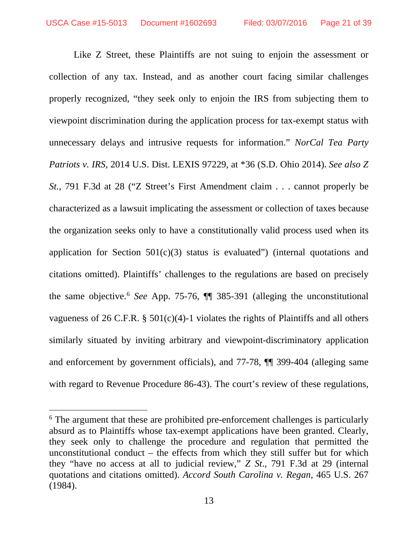Like Z Street, these Plaintiffs are not suing to enjoin the assessment or collection of any tax. Instead, and as another court facing similar challenges properly recognized, "they seek only to enjoin the IRS from subjecting them to viewpoint discrimination during the application process for tax-exempt status with unnecessary delays and intrusive requests for information." *NorCal Tea Party Patriots v. IRS*, 2014 U.S. Dist. LEXIS 97229, at \*36 (S.D. Ohio 2014)**.** *See also Z St.*, 791 F.3d at 28 ("Z Street's First Amendment claim . . . cannot properly be characterized as a lawsuit implicating the assessment or collection of taxes because the organization seeks only to have a constitutionally valid process used when its application for Section  $501(c)(3)$  status is evaluated") (internal quotations and citations omitted). Plaintiffs' challenges to the regulations are based on precisely the same objective.[6](#page-20-0) *See* App. 75-76, ¶¶ 385-391 (alleging the unconstitutional vagueness of 26 C.F.R.  $\S$  501(c)(4)-1 violates the rights of Plaintiffs and all others similarly situated by inviting arbitrary and viewpoint-discriminatory application and enforcement by government officials), and 77-78, ¶¶ 399-404 (alleging same with regard to Revenue Procedure 86-43). The court's review of these regulations,

<span id="page-20-0"></span><sup>&</sup>lt;sup>6</sup> The argument that these are prohibited pre-enforcement challenges is particularly absurd as to Plaintiffs whose tax-exempt applications have been granted. Clearly, they seek only to challenge the procedure and regulation that permitted the unconstitutional conduct – the effects from which they still suffer but for which they "have no access at all to judicial review," *Z St*., 791 F.3d at 29 (internal quotations and citations omitted). *Accord South Carolina v. Regan*, 465 U.S. 267 (1984).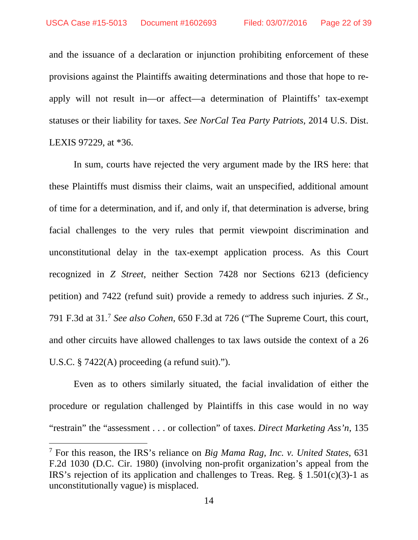and the issuance of a declaration or injunction prohibiting enforcement of these provisions against the Plaintiffs awaiting determinations and those that hope to reapply will not result in—or affect—a determination of Plaintiffs' tax-exempt statuses or their liability for taxes. *See NorCal Tea Party Patriots*, 2014 U.S. Dist. LEXIS 97229, at \*36.

In sum, courts have rejected the very argument made by the IRS here: that these Plaintiffs must dismiss their claims, wait an unspecified, additional amount of time for a determination, and if, and only if, that determination is adverse, bring facial challenges to the very rules that permit viewpoint discrimination and unconstitutional delay in the tax-exempt application process. As this Court recognized in *Z Street*, neither Section 7428 nor Sections 6213 (deficiency petition) and 7422 (refund suit) provide a remedy to address such injuries. *Z St*., 791 F.3d at 31.[7](#page-21-0) *See also Cohen*, 650 F.3d at 726 ("The Supreme Court, this court, and other circuits have allowed challenges to tax laws outside the context of a 26 U.S.C. § 7422(A) proceeding (a refund suit).").

Even as to others similarly situated, the facial invalidation of either the procedure or regulation challenged by Plaintiffs in this case would in no way "restrain" the "assessment . . . or collection" of taxes. *Direct Marketing Ass'n*, 135

<span id="page-21-0"></span> <sup>7</sup> For this reason, the IRS's reliance on *Big Mama Rag, Inc. v. United States*, 631 F.2d 1030 (D.C. Cir. 1980) (involving non-profit organization's appeal from the IRS's rejection of its application and challenges to Treas. Reg.  $\S$  1.501(c)(3)-1 as unconstitutionally vague) is misplaced.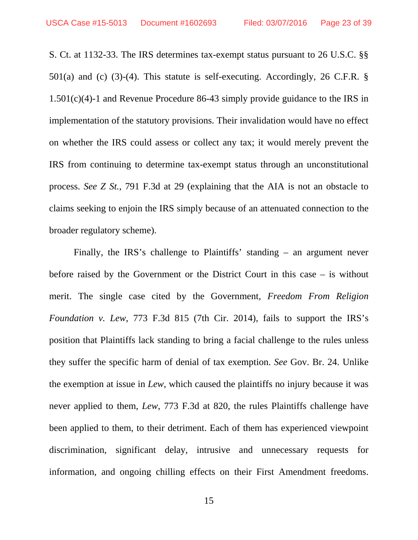S. Ct. at 1132-33. The IRS determines tax-exempt status pursuant to 26 U.S.C. §§ 501(a) and (c) (3)-(4). This statute is self-executing. Accordingly, 26 C.F.R. § 1.501(c)(4)-1 and Revenue Procedure 86-43 simply provide guidance to the IRS in implementation of the statutory provisions. Their invalidation would have no effect on whether the IRS could assess or collect any tax; it would merely prevent the IRS from continuing to determine tax-exempt status through an unconstitutional process. *See Z St.*, 791 F.3d at 29 (explaining that the AIA is not an obstacle to claims seeking to enjoin the IRS simply because of an attenuated connection to the broader regulatory scheme).

Finally, the IRS's challenge to Plaintiffs' standing – an argument never before raised by the Government or the District Court in this case – is without merit. The single case cited by the Government, *Freedom From Religion Foundation v. Lew*, 773 F.3d 815 (7th Cir. 2014), fails to support the IRS's position that Plaintiffs lack standing to bring a facial challenge to the rules unless they suffer the specific harm of denial of tax exemption. *See* Gov. Br. 24. Unlike the exemption at issue in *Lew*, which caused the plaintiffs no injury because it was never applied to them, *Lew*, 773 F.3d at 820, the rules Plaintiffs challenge have been applied to them, to their detriment. Each of them has experienced viewpoint discrimination, significant delay, intrusive and unnecessary requests for information, and ongoing chilling effects on their First Amendment freedoms.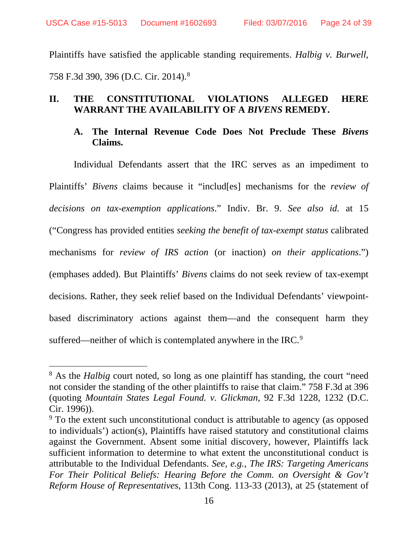Plaintiffs have satisfied the applicable standing requirements. *Halbig v. Burwell*, 758 F.3d 390, 396 (D.C. Cir. 2014).[8](#page-23-0)

### **II. THE CONSTITUTIONAL VIOLATIONS ALLEGED HERE WARRANT THE AVAILABILITY OF A** *BIVENS* **REMEDY.**

#### **A. The Internal Revenue Code Does Not Preclude These** *Bivens* **Claims.**

Individual Defendants assert that the IRC serves as an impediment to Plaintiffs' *Bivens* claims because it "includ[es] mechanisms for the *review of decisions on tax-exemption applications*." Indiv. Br. 9. *See also id.* at 15 ("Congress has provided entities *seeking the benefit of tax-exempt status* calibrated mechanisms for *review of IRS action* (or inaction) *on their applications*.") (emphases added). But Plaintiffs' *Bivens* claims do not seek review of tax-exempt decisions. Rather, they seek relief based on the Individual Defendants' viewpointbased discriminatory actions against them—and the consequent harm they suffered—neither of which is contemplated anywhere in the IRC.<sup>[9](#page-23-1)</sup>

<span id="page-23-0"></span><sup>&</sup>lt;sup>8</sup> As the *Halbig* court noted, so long as one plaintiff has standing, the court "need not consider the standing of the other plaintiffs to raise that claim." 758 F.3d at 396 (quoting *Mountain States Legal Found. v. Glickman*, 92 F.3d 1228, 1232 (D.C. Cir. 1996)).

<span id="page-23-1"></span><sup>&</sup>lt;sup>9</sup> To the extent such unconstitutional conduct is attributable to agency (as opposed to individuals') action(s), Plaintiffs have raised statutory and constitutional claims against the Government. Absent some initial discovery, however, Plaintiffs lack sufficient information to determine to what extent the unconstitutional conduct is attributable to the Individual Defendants. *See, e.g., The IRS: Targeting Americans For Their Political Beliefs: Hearing Before the Comm. on Oversight & Gov't Reform House of Representatives*, 113th Cong. 113-33 (2013), at 25 (statement of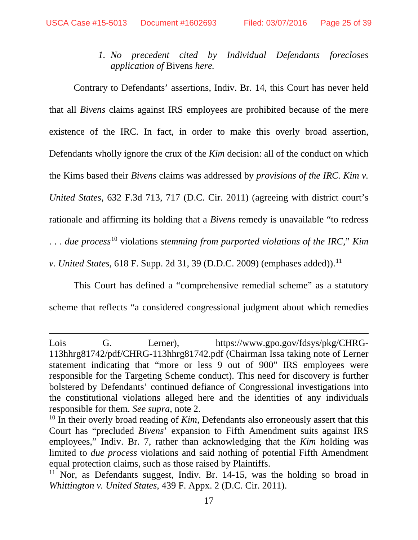*1. No precedent cited by Individual Defendants forecloses application of* Bivens *here.*

Contrary to Defendants' assertions, Indiv. Br. 14, this Court has never held that all *Bivens* claims against IRS employees are prohibited because of the mere existence of the IRC. In fact, in order to make this overly broad assertion, Defendants wholly ignore the crux of the *Kim* decision: all of the conduct on which the Kims based their *Bivens* claims was addressed by *provisions of the IRC. Kim v. United States*, 632 F.3d 713, 717 (D.C. Cir. 2011) (agreeing with district court's rationale and affirming its holding that a *Bivens* remedy is unavailable "to redress . . . *due process*[10](#page-24-0) violations *stemming from purported violations of the IRC*," *Kim v. United States*, 618 F. Supp. 2d 31, 39 (D.D.C. 2009) (emphases added)).<sup>[11](#page-24-1)</sup>

This Court has defined a "comprehensive remedial scheme" as a statutory scheme that reflects "a considered congressional judgment about which remedies

 $\overline{a}$ 

Lois G. Lerner), https://www.gpo.gov/fdsys/pkg/CHRG-113hhrg81742/pdf/CHRG-113hhrg81742.pdf (Chairman Issa taking note of Lerner statement indicating that "more or less 9 out of 900" IRS employees were responsible for the Targeting Scheme conduct). This need for discovery is further bolstered by Defendants' continued defiance of Congressional investigations into the constitutional violations alleged here and the identities of any individuals responsible for them. *See supra*, note 2.

<span id="page-24-0"></span><sup>&</sup>lt;sup>10</sup> In their overly broad reading of *Kim*, Defendants also erroneously assert that this Court has "precluded *Bivens*' expansion to Fifth Amendment suits against IRS employees," Indiv. Br. 7, rather than acknowledging that the *Kim* holding was limited to *due process* violations and said nothing of potential Fifth Amendment equal protection claims, such as those raised by Plaintiffs.

<span id="page-24-1"></span><sup>&</sup>lt;sup>11</sup> Nor, as Defendants suggest, Indiv. Br. 14-15, was the holding so broad in *Whittington v. United States*, 439 F. Appx. 2 (D.C. Cir. 2011).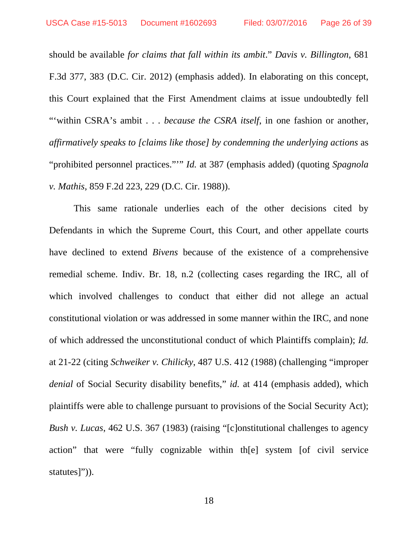should be available *for claims that fall within its ambit*." *Davis v. Billington*, 681 F.3d 377, 383 (D.C. Cir. 2012) (emphasis added). In elaborating on this concept, this Court explained that the First Amendment claims at issue undoubtedly fell "'within CSRA's ambit . . . *because the CSRA itself*, in one fashion or another, *affirmatively speaks to [claims like those] by condemning the underlying actions* as "prohibited personnel practices."'" *Id.* at 387 (emphasis added) (quoting *Spagnola v. Mathis*, 859 F.2d 223, 229 (D.C. Cir. 1988)).

This same rationale underlies each of the other decisions cited by Defendants in which the Supreme Court, this Court, and other appellate courts have declined to extend *Bivens* because of the existence of a comprehensive remedial scheme. Indiv. Br. 18, n.2 (collecting cases regarding the IRC, all of which involved challenges to conduct that either did not allege an actual constitutional violation or was addressed in some manner within the IRC, and none of which addressed the unconstitutional conduct of which Plaintiffs complain); *Id.*  at 21-22 (citing *Schweiker v. Chilicky*, 487 U.S. 412 (1988) (challenging "improper *denial* of Social Security disability benefits," *id.* at 414 (emphasis added), which plaintiffs were able to challenge pursuant to provisions of the Social Security Act); *Bush v. Lucas*, 462 U.S. 367 (1983) (raising "[c]onstitutional challenges to agency action" that were "fully cognizable within th[e] system [of civil service statutes]")).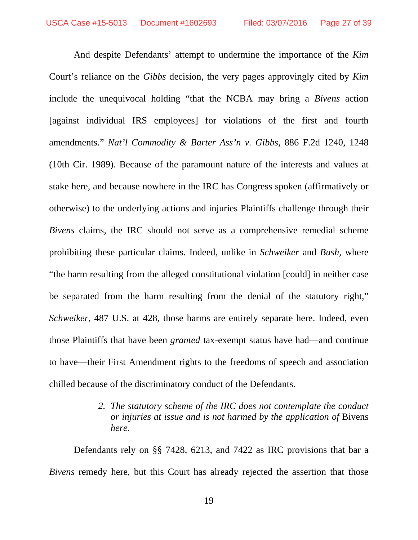And despite Defendants' attempt to undermine the importance of the *Kim*  Court's reliance on the *Gibbs* decision, the very pages approvingly cited by *Kim* include the unequivocal holding "that the NCBA may bring a *Bivens* action [against individual IRS employees] for violations of the first and fourth amendments." *Nat'l Commodity & Barter Ass'n v. Gibbs*, 886 F.2d 1240, 1248 (10th Cir. 1989). Because of the paramount nature of the interests and values at stake here, and because nowhere in the IRC has Congress spoken (affirmatively or otherwise) to the underlying actions and injuries Plaintiffs challenge through their *Bivens* claims, the IRC should not serve as a comprehensive remedial scheme prohibiting these particular claims. Indeed, unlike in *Schweiker* and *Bush*, where "the harm resulting from the alleged constitutional violation [could] in neither case be separated from the harm resulting from the denial of the statutory right," *Schweiker*, 487 U.S. at 428, those harms are entirely separate here. Indeed, even those Plaintiffs that have been *granted* tax-exempt status have had—and continue to have—their First Amendment rights to the freedoms of speech and association chilled because of the discriminatory conduct of the Defendants.

#### *2. The statutory scheme of the IRC does not contemplate the conduct or injuries at issue and is not harmed by the application of* Bivens *here.*

Defendants rely on §§ 7428, 6213, and 7422 as IRC provisions that bar a *Bivens* remedy here, but this Court has already rejected the assertion that those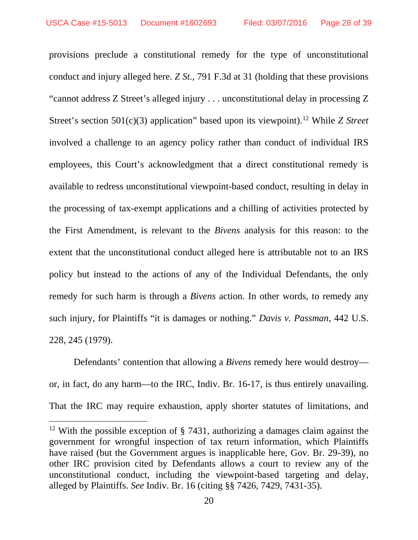provisions preclude a constitutional remedy for the type of unconstitutional conduct and injury alleged here. *Z St.*, 791 F.3d at 31 (holding that these provisions "cannot address Z Street's alleged injury . . . unconstitutional delay in processing Z Street's section 501(c)(3) application" based upon its viewpoint)[.12](#page-27-0) While *Z Street* involved a challenge to an agency policy rather than conduct of individual IRS employees, this Court's acknowledgment that a direct constitutional remedy is available to redress unconstitutional viewpoint-based conduct, resulting in delay in the processing of tax-exempt applications and a chilling of activities protected by the First Amendment, is relevant to the *Bivens* analysis for this reason: to the extent that the unconstitutional conduct alleged here is attributable not to an IRS policy but instead to the actions of any of the Individual Defendants, the only remedy for such harm is through a *Bivens* action. In other words, to remedy any such injury, for Plaintiffs "it is damages or nothing." *Davis v. Passman*, 442 U.S. 228, 245 (1979).

Defendants' contention that allowing a *Bivens* remedy here would destroy or, in fact, do any harm—to the IRC, Indiv. Br. 16-17, is thus entirely unavailing. That the IRC may require exhaustion, apply shorter statutes of limitations, and

<span id="page-27-0"></span><sup>&</sup>lt;sup>12</sup> With the possible exception of  $\S$  7431, authorizing a damages claim against the government for wrongful inspection of tax return information, which Plaintiffs have raised (but the Government argues is inapplicable here, Gov. Br. 29-39), no other IRC provision cited by Defendants allows a court to review any of the unconstitutional conduct, including the viewpoint-based targeting and delay, alleged by Plaintiffs. *See* Indiv. Br. 16 (citing §§ 7426, 7429, 7431-35).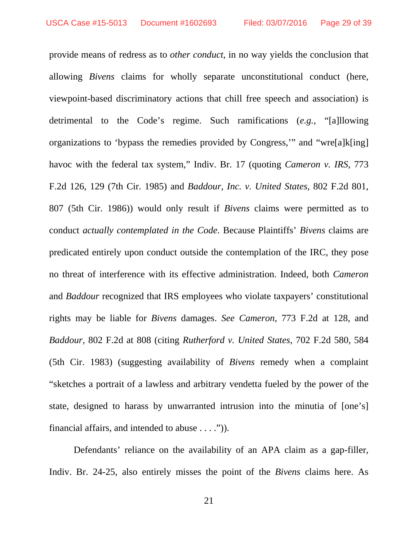provide means of redress as to *other conduct*, in no way yields the conclusion that allowing *Bivens* claims for wholly separate unconstitutional conduct (here, viewpoint-based discriminatory actions that chill free speech and association) is detrimental to the Code's regime. Such ramifications (*e.g.*, "[a]llowing organizations to 'bypass the remedies provided by Congress,'" and "wre[a]k[ing] havoc with the federal tax system," Indiv. Br. 17 (quoting *Cameron v. IRS*, 773 F.2d 126, 129 (7th Cir. 1985) and *Baddour, Inc. v. United States*, 802 F.2d 801, 807 (5th Cir. 1986)) would only result if *Bivens* claims were permitted as to conduct *actually contemplated in the Code*. Because Plaintiffs' *Bivens* claims are predicated entirely upon conduct outside the contemplation of the IRC, they pose no threat of interference with its effective administration. Indeed, both *Cameron* and *Baddour* recognized that IRS employees who violate taxpayers' constitutional rights may be liable for *Bivens* damages. *See Cameron*, 773 F.2d at 128, and *Baddour*, 802 F.2d at 808 (citing *Rutherford v. United States*, 702 F.2d 580, 584 (5th Cir. 1983) (suggesting availability of *Bivens* remedy when a complaint "sketches a portrait of a lawless and arbitrary vendetta fueled by the power of the state, designed to harass by unwarranted intrusion into the minutia of [one's] financial affairs, and intended to abuse  $\dots$ .")).

Defendants' reliance on the availability of an APA claim as a gap-filler, Indiv. Br. 24-25, also entirely misses the point of the *Bivens* claims here. As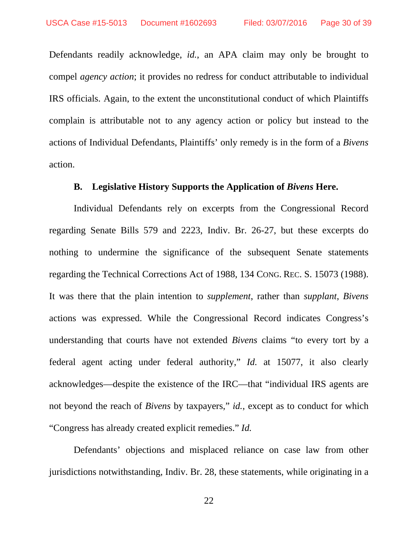Defendants readily acknowledge, *id.*, an APA claim may only be brought to compel *agency action*; it provides no redress for conduct attributable to individual IRS officials. Again, to the extent the unconstitutional conduct of which Plaintiffs complain is attributable not to any agency action or policy but instead to the actions of Individual Defendants, Plaintiffs' only remedy is in the form of a *Bivens* action.

#### **B. Legislative History Supports the Application of** *Bivens* **Here.**

Individual Defendants rely on excerpts from the Congressional Record regarding Senate Bills 579 and 2223, Indiv. Br. 26-27, but these excerpts do nothing to undermine the significance of the subsequent Senate statements regarding the Technical Corrections Act of 1988, 134 CONG. REC. S. 15073 (1988). It was there that the plain intention to *supplement*, rather than *supplant*, *Bivens* actions was expressed. While the Congressional Record indicates Congress's understanding that courts have not extended *Bivens* claims "to every tort by a federal agent acting under federal authority," *Id.* at 15077, it also clearly acknowledges—despite the existence of the IRC—that "individual IRS agents are not beyond the reach of *Bivens* by taxpayers," *id.*, except as to conduct for which "Congress has already created explicit remedies." *Id.*

Defendants' objections and misplaced reliance on case law from other jurisdictions notwithstanding, Indiv. Br. 28, these statements, while originating in a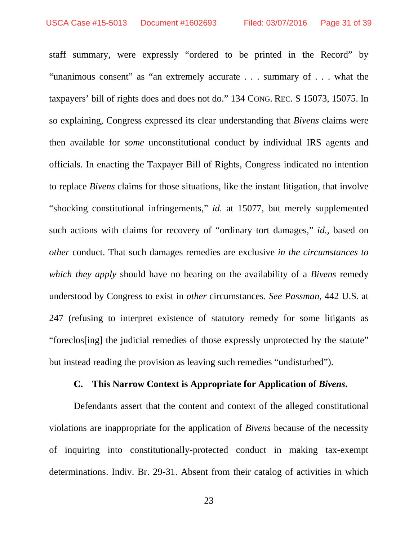staff summary, were expressly "ordered to be printed in the Record" by "unanimous consent" as "an extremely accurate . . . summary of . . . what the taxpayers' bill of rights does and does not do." 134 CONG. REC. S 15073, 15075. In so explaining, Congress expressed its clear understanding that *Bivens* claims were then available for *some* unconstitutional conduct by individual IRS agents and officials. In enacting the Taxpayer Bill of Rights, Congress indicated no intention to replace *Bivens* claims for those situations, like the instant litigation, that involve "shocking constitutional infringements," *id.* at 15077, but merely supplemented such actions with claims for recovery of "ordinary tort damages," *id.*, based on *other* conduct. That such damages remedies are exclusive *in the circumstances to which they apply* should have no bearing on the availability of a *Bivens* remedy understood by Congress to exist in *other* circumstances. *See Passman*, 442 U.S. at 247 (refusing to interpret existence of statutory remedy for some litigants as "foreclos[ing] the judicial remedies of those expressly unprotected by the statute" but instead reading the provision as leaving such remedies "undisturbed").

#### **C. This Narrow Context is Appropriate for Application of** *Bivens***.**

Defendants assert that the content and context of the alleged constitutional violations are inappropriate for the application of *Bivens* because of the necessity of inquiring into constitutionally-protected conduct in making tax-exempt determinations. Indiv. Br. 29-31. Absent from their catalog of activities in which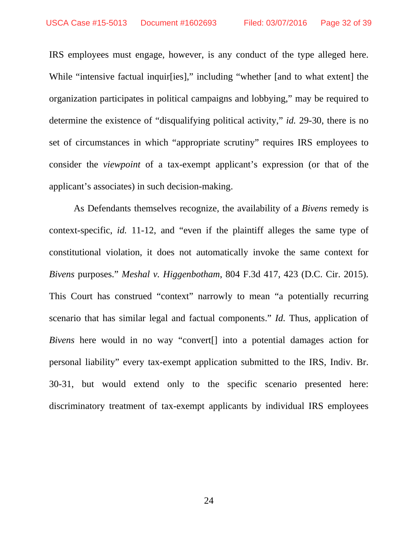IRS employees must engage, however, is any conduct of the type alleged here. While "intensive factual inquir[ies]," including "whether [and to what extent] the organization participates in political campaigns and lobbying," may be required to determine the existence of "disqualifying political activity," *id.* 29-30, there is no set of circumstances in which "appropriate scrutiny" requires IRS employees to consider the *viewpoint* of a tax-exempt applicant's expression (or that of the applicant's associates) in such decision-making.

As Defendants themselves recognize, the availability of a *Bivens* remedy is context-specific, *id.* 11-12, and "even if the plaintiff alleges the same type of constitutional violation, it does not automatically invoke the same context for *Bivens* purposes." *Meshal v. Higgenbotham*, 804 F.3d 417, 423 (D.C. Cir. 2015). This Court has construed "context" narrowly to mean "a potentially recurring scenario that has similar legal and factual components." *Id.* Thus, application of *Bivens* here would in no way "convert<sup>[]</sup> into a potential damages action for personal liability" every tax-exempt application submitted to the IRS, Indiv. Br. 30-31, but would extend only to the specific scenario presented here: discriminatory treatment of tax-exempt applicants by individual IRS employees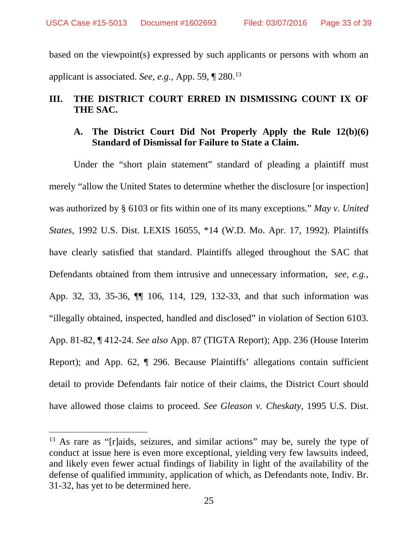based on the viewpoint(s) expressed by such applicants or persons with whom an applicant is associated. *See, e.g.,* App. 59, ¶ 280.[13](#page-32-0)

# **III. THE DISTRICT COURT ERRED IN DISMISSING COUNT IX OF THE SAC.**

#### **A. The District Court Did Not Properly Apply the Rule 12(b)(6) Standard of Dismissal for Failure to State a Claim.**

Under the "short plain statement" standard of pleading a plaintiff must merely "allow the United States to determine whether the disclosure [or inspection] was authorized by § 6103 or fits within one of its many exceptions." *May v. United States*, 1992 U.S. Dist. LEXIS 16055, \*14 (W.D. Mo. Apr. 17, 1992). Plaintiffs have clearly satisfied that standard. Plaintiffs alleged throughout the SAC that Defendants obtained from them intrusive and unnecessary information, *see, e.g.*, App. 32, 33, 35-36, ¶¶ 106, 114, 129, 132-33, and that such information was "illegally obtained, inspected, handled and disclosed" in violation of Section 6103. App. 81-82, ¶ 412-24. *See also* App. 87 (TIGTA Report); App. 236 (House Interim Report); and App. 62, ¶ 296. Because Plaintiffs' allegations contain sufficient detail to provide Defendants fair notice of their claims, the District Court should have allowed those claims to proceed. *See Gleason v. Cheskaty*, 1995 U.S. Dist.

<span id="page-32-0"></span><sup>&</sup>lt;sup>13</sup> As rare as "[r]aids, seizures, and similar actions" may be, surely the type of conduct at issue here is even more exceptional, yielding very few lawsuits indeed, and likely even fewer actual findings of liability in light of the availability of the defense of qualified immunity, application of which, as Defendants note, Indiv. Br. 31-32, has yet to be determined here.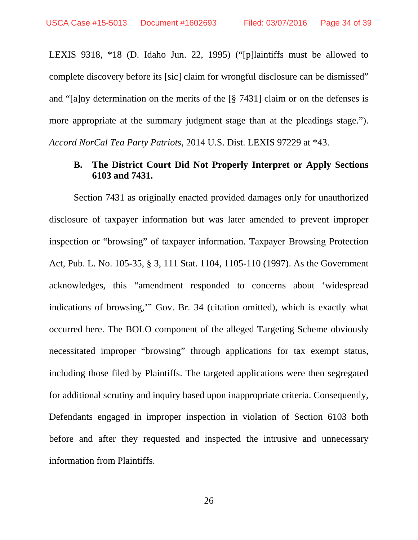LEXIS 9318, \*18 (D. Idaho Jun. 22, 1995) ("[p]laintiffs must be allowed to complete discovery before its [sic] claim for wrongful disclosure can be dismissed" and "[a]ny determination on the merits of the [§ 7431] claim or on the defenses is more appropriate at the summary judgment stage than at the pleadings stage."). *Accord NorCal Tea Party Patriots*, 2014 U.S. Dist. LEXIS 97229 at \*43.

#### **B. The District Court Did Not Properly Interpret or Apply Sections 6103 and 7431.**

Section 7431 as originally enacted provided damages only for unauthorized disclosure of taxpayer information but was later amended to prevent improper inspection or "browsing" of taxpayer information. Taxpayer Browsing Protection Act, Pub. L. No. 105-35, § 3, 111 Stat. 1104, 1105-110 (1997). As the Government acknowledges, this "amendment responded to concerns about 'widespread indications of browsing,'" Gov. Br. 34 (citation omitted), which is exactly what occurred here. The BOLO component of the alleged Targeting Scheme obviously necessitated improper "browsing" through applications for tax exempt status, including those filed by Plaintiffs. The targeted applications were then segregated for additional scrutiny and inquiry based upon inappropriate criteria. Consequently, Defendants engaged in improper inspection in violation of Section 6103 both before and after they requested and inspected the intrusive and unnecessary information from Plaintiffs.

26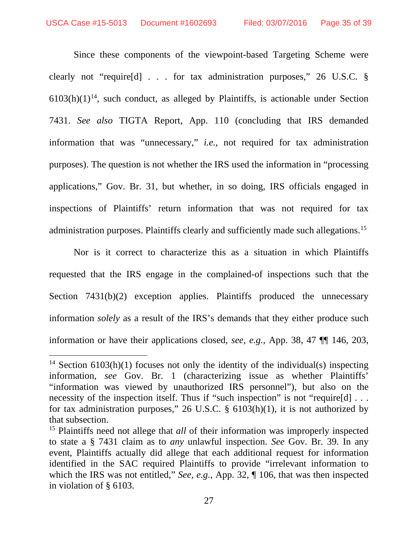Since these components of the viewpoint-based Targeting Scheme were clearly not "require[d] . . . for tax administration purposes," 26 U.S.C. §  $6103(h)(1)<sup>14</sup>$  $6103(h)(1)<sup>14</sup>$  $6103(h)(1)<sup>14</sup>$ , such conduct, as alleged by Plaintiffs, is actionable under Section 7431. *See also* TIGTA Report, App. 110 (concluding that IRS demanded information that was "unnecessary," *i.e.*, not required for tax administration purposes). The question is not whether the IRS used the information in "processing applications," Gov. Br. 31, but whether, in so doing, IRS officials engaged in inspections of Plaintiffs' return information that was not required for tax administration purposes. Plaintiffs clearly and sufficiently made such allegations.[15](#page-34-1)

Nor is it correct to characterize this as a situation in which Plaintiffs requested that the IRS engage in the complained-of inspections such that the Section 7431(b)(2) exception applies. Plaintiffs produced the unnecessary information *solely* as a result of the IRS's demands that they either produce such information or have their applications closed, *see, e.g.*, App. 38, 47 ¶¶ 146, 203,

<span id="page-34-0"></span><sup>&</sup>lt;sup>14</sup> Section  $6103(h)(1)$  focuses not only the identity of the individual(s) inspecting information, *see* Gov. Br. 1 (characterizing issue as whether Plaintiffs' "information was viewed by unauthorized IRS personnel"), but also on the necessity of the inspection itself. Thus if "such inspection" is not "require[d] ... for tax administration purposes," 26 U.S.C. § 6103(h)(1), it is not authorized by that subsection.

<span id="page-34-1"></span><sup>15</sup> Plaintiffs need not allege that *all* of their information was improperly inspected to state a § 7431 claim as to *any* unlawful inspection. *See* Gov. Br. 39. In any event, Plaintiffs actually did allege that each additional request for information identified in the SAC required Plaintiffs to provide "irrelevant information to which the IRS was not entitled," *See, e.g.*, App. 32, ¶ 106, that was then inspected in violation of § 6103.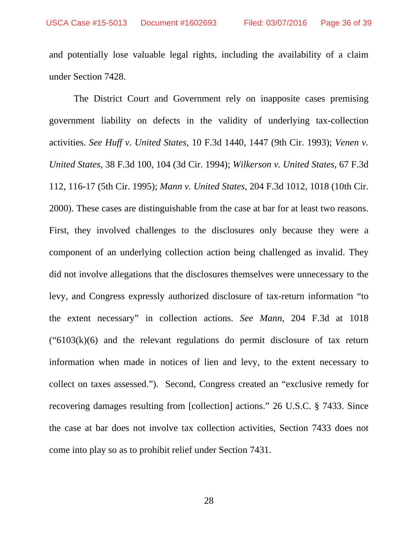and potentially lose valuable legal rights, including the availability of a claim under Section 7428.

The District Court and Government rely on inapposite cases premising government liability on defects in the validity of underlying tax-collection activities. *See Huff v. United States*, 10 F.3d 1440, 1447 (9th Cir. 1993); *Venen v. United States*, 38 F.3d 100, 104 (3d Cir. 1994); *Wilkerson v. United States*, 67 F.3d 112, 116-17 (5th Cir. 1995); *Mann v. United States*, 204 F.3d 1012, 1018 (10th Cir. 2000). These cases are distinguishable from the case at bar for at least two reasons. First, they involved challenges to the disclosures only because they were a component of an underlying collection action being challenged as invalid. They did not involve allegations that the disclosures themselves were unnecessary to the levy, and Congress expressly authorized disclosure of tax-return information "to the extent necessary" in collection actions. *See Mann*, 204 F.3d at 1018  $("6103(k)(6)$  and the relevant regulations do permit disclosure of tax return information when made in notices of lien and levy, to the extent necessary to collect on taxes assessed."). Second, Congress created an "exclusive remedy for recovering damages resulting from [collection] actions." 26 U.S.C. § 7433. Since the case at bar does not involve tax collection activities, Section 7433 does not come into play so as to prohibit relief under Section 7431.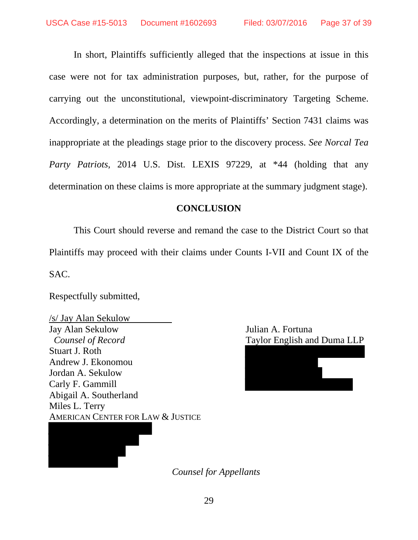In short, Plaintiffs sufficiently alleged that the inspections at issue in this case were not for tax administration purposes, but, rather, for the purpose of carrying out the unconstitutional, viewpoint-discriminatory Targeting Scheme. Accordingly, a determination on the merits of Plaintiffs' Section 7431 claims was inappropriate at the pleadings stage prior to the discovery process. *See Norcal Tea Party Patriots*, 2014 U.S. Dist. LEXIS 97229, at \*44 (holding that any determination on these claims is more appropriate at the summary judgment stage).

#### **CONCLUSION**

This Court should reverse and remand the case to the District Court so that Plaintiffs may proceed with their claims under Counts I-VII and Count IX of the SAC.

Respectfully submitted,

/s/ Jay Alan Sekulow Jay Alan Sekulow Julian A. Fortuna *Counsel of Record* Taylor English and Duma LLP Stuart J. Roth Andrew J. Ekonomou Jordan A. Sekulow Carly F. Gammill Abigail A. Southerland Miles L. Terry AMERICAN CENTER FOR LAW & JUSTICE



*Counsel for Appellants*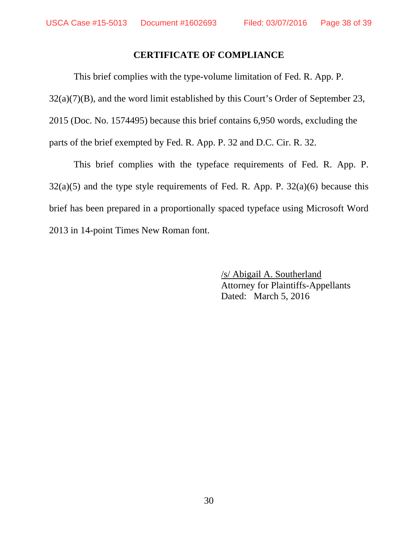#### **CERTIFICATE OF COMPLIANCE**

This brief complies with the type-volume limitation of Fed. R. App. P.  $32(a)(7)(B)$ , and the word limit established by this Court's Order of September 23, 2015 (Doc. No. 1574495) because this brief contains 6,950 words, excluding the parts of the brief exempted by Fed. R. App. P. 32 and D.C. Cir. R. 32.

This brief complies with the typeface requirements of Fed. R. App. P.  $32(a)(5)$  and the type style requirements of Fed. R. App. P.  $32(a)(6)$  because this brief has been prepared in a proportionally spaced typeface using Microsoft Word 2013 in 14-point Times New Roman font.

> /s/ Abigail A. Southerland Attorney for Plaintiffs-Appellants Dated: March 5, 2016